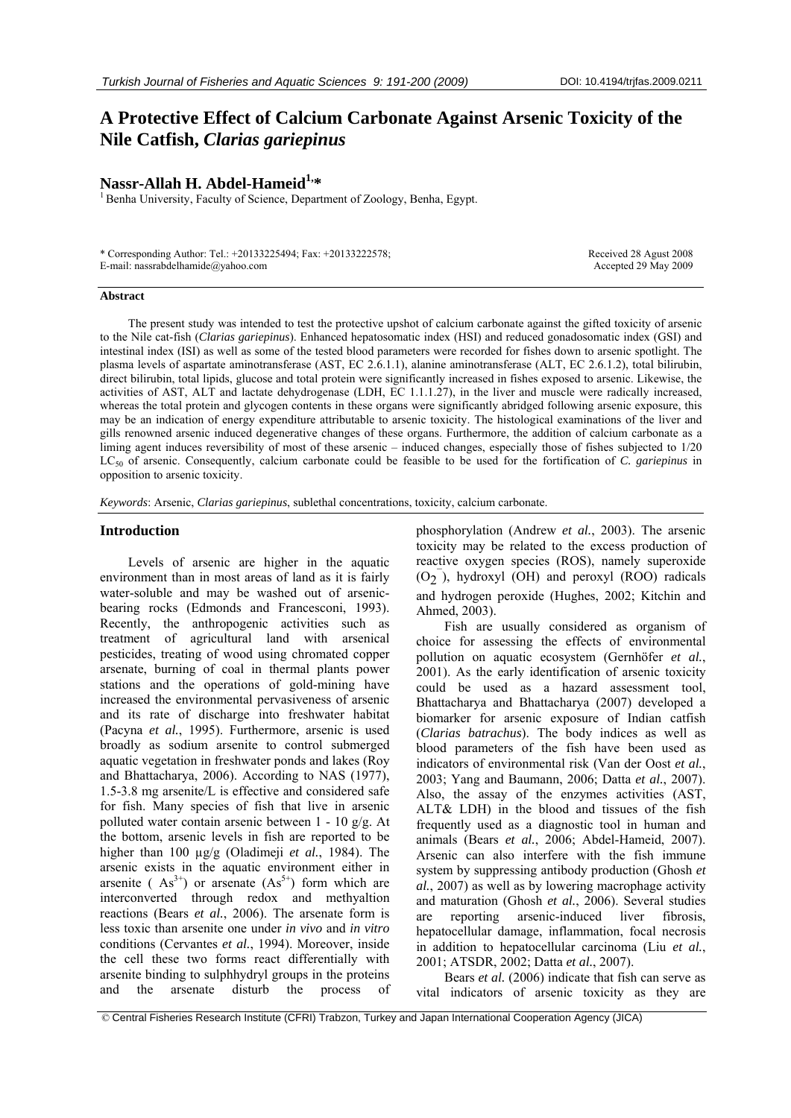# **A Protective Effect of Calcium Carbonate Against Arsenic Toxicity of the Nile Catfish,** *Clarias gariepinus*

**Nassr-Allah H. Abdel-Hameid<sup>1,\*</sup>**<br><sup>1</sup> Benha University, Faculty of Science, Department of Zoology, Benha, Egypt.

| * Corresponding Author: Tel.: +20133225494; Fax: +20133222578; | Received 28 Agust 2008 |
|----------------------------------------------------------------|------------------------|
| E-mail: nassrabdelhamide@yahoo.com                             | Accepted 29 May 2009   |

#### **Abstract**

The present study was intended to test the protective upshot of calcium carbonate against the gifted toxicity of arsenic to the Nile cat-fish (*Clarias gariepinus*). Enhanced hepatosomatic index (HSI) and reduced gonadosomatic index (GSI) and intestinal index (ISI) as well as some of the tested blood parameters were recorded for fishes down to arsenic spotlight. The plasma levels of aspartate aminotransferase (AST, EC 2.6.1.1), alanine aminotransferase (ALT, EC 2.6.1.2), total bilirubin, direct bilirubin, total lipids, glucose and total protein were significantly increased in fishes exposed to arsenic. Likewise, the activities of AST, ALT and lactate dehydrogenase (LDH, EC 1.1.1.27), in the liver and muscle were radically increased, whereas the total protein and glycogen contents in these organs were significantly abridged following arsenic exposure, this may be an indication of energy expenditure attributable to arsenic toxicity. The histological examinations of the liver and gills renowned arsenic induced degenerative changes of these organs. Furthermore, the addition of calcium carbonate as a liming agent induces reversibility of most of these arsenic – induced changes, especially those of fishes subjected to 1/20 LC50 of arsenic. Consequently, calcium carbonate could be feasible to be used for the fortification of *C. gariepinus* in opposition to arsenic toxicity.

*Keywords*: Arsenic, *Clarias gariepinus*, sublethal concentrations, toxicity, calcium carbonate.

# **Introduction**

Levels of arsenic are higher in the aquatic environment than in most areas of land as it is fairly water-soluble and may be washed out of arsenicbearing rocks (Edmonds and Francesconi, 1993). Recently, the anthropogenic activities such as treatment of agricultural land with arsenical pesticides, treating of wood using chromated copper arsenate, burning of coal in thermal plants power stations and the operations of gold-mining have increased the environmental pervasiveness of arsenic and its rate of discharge into freshwater habitat (Pacyna *et al.*, 1995). Furthermore, arsenic is used broadly as sodium arsenite to control submerged aquatic vegetation in freshwater ponds and lakes (Roy and Bhattacharya, 2006). According to NAS (1977), 1.5-3.8 mg arsenite/L is effective and considered safe for fish. Many species of fish that live in arsenic polluted water contain arsenic between 1 - 10 g/g. At the bottom, arsenic levels in fish are reported to be higher than 100 µg/g (Oladimeji *et al.*, 1984). The arsenic exists in the aquatic environment either in arsenite ( $As<sup>3+</sup>$ ) or arsenate  $(As<sup>3+</sup>)$  form which are interconverted through redox and methyaltion reactions (Bears *et al.*, 2006). The arsenate form is less toxic than arsenite one under *in vivo* and *in vitro* conditions (Cervantes *et al.*, 1994). Moreover, inside the cell these two forms react differentially with arsenite binding to sulphhydryl groups in the proteins and the arsenate disturb the process of phosphorylation (Andrew *et al.*, 2003). The arsenic toxicity may be related to the excess production of reactive oxygen species (ROS), namely superoxide  $(O_2)$ , hydroxyl (OH) and peroxyl (ROO) radicals and hydrogen peroxide (Hughes, 2002; Kitchin and Ahmed, 2003).

Fish are usually considered as organism of choice for assessing the effects of environmental pollution on aquatic ecosystem (Gernhöfer *et al.*, 2001). As the early identification of arsenic toxicity could be used as a hazard assessment tool, Bhattacharya and Bhattacharya (2007) developed a biomarker for arsenic exposure of Indian catfish (*Clarias batrachus*). The body indices as well as blood parameters of the fish have been used as indicators of environmental risk (Van der Oost *et al.*, 2003; Yang and Baumann, 2006; Datta *et al.*, 2007). Also, the assay of the enzymes activities (AST, ALT& LDH) in the blood and tissues of the fish frequently used as a diagnostic tool in human and animals (Bears *et al.*, 2006; Abdel-Hameid, 2007). Arsenic can also interfere with the fish immune system by suppressing antibody production (Ghosh *et al.*, 2007) as well as by lowering macrophage activity and maturation (Ghosh *et al.*, 2006). Several studies are reporting arsenic-induced liver fibrosis, hepatocellular damage, inflammation, focal necrosis in addition to hepatocellular carcinoma (Liu *et al.*, 2001; ATSDR, 2002; Datta *et al.*, 2007).

Bears *et al.* (2006) indicate that fish can serve as vital indicators of arsenic toxicity as they are

© Central Fisheries Research Institute (CFRI) Trabzon, Turkey and Japan International Cooperation Agency (JICA)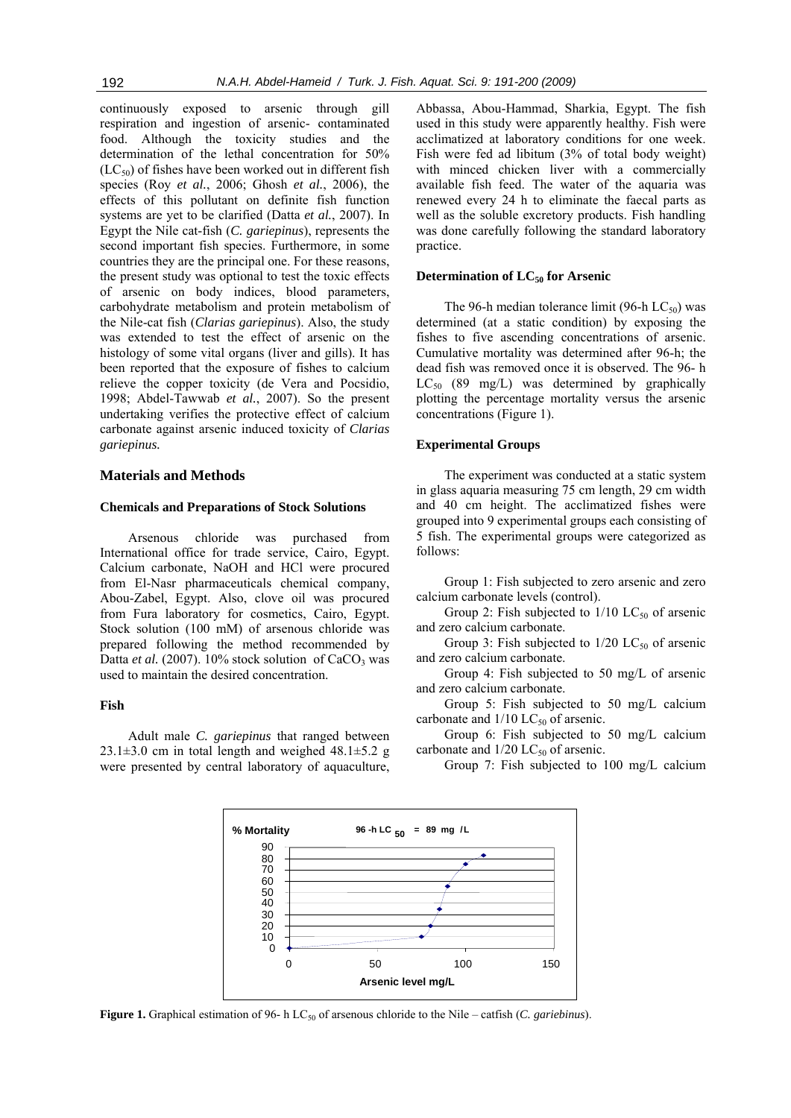continuously exposed to arsenic through gill respiration and ingestion of arsenic- contaminated food. Although the toxicity studies and the determination of the lethal concentration for 50%  $(LC_{50})$  of fishes have been worked out in different fish species (Roy *et al.*, 2006; Ghosh *et al.*, 2006), the effects of this pollutant on definite fish function systems are yet to be clarified (Datta *et al.*, 2007). In Egypt the Nile cat-fish (*C. gariepinus*), represents the second important fish species. Furthermore, in some countries they are the principal one. For these reasons, the present study was optional to test the toxic effects of arsenic on body indices, blood parameters, carbohydrate metabolism and protein metabolism of the Nile-cat fish (*Clarias gariepinus*). Also, the study was extended to test the effect of arsenic on the histology of some vital organs (liver and gills). It has been reported that the exposure of fishes to calcium relieve the copper toxicity (de Vera and Pocsidio, 1998; Abdel-Tawwab *et al.*, 2007). So the present undertaking verifies the protective effect of calcium carbonate against arsenic induced toxicity of *Clarias gariepinus.* 

# **Materials and Methods**

# **Chemicals and Preparations of Stock Solutions**

Arsenous chloride was purchased from International office for trade service, Cairo, Egypt. Calcium carbonate, NaOH and HCl were procured from El-Nasr pharmaceuticals chemical company, Abou-Zabel, Egypt. Also, clove oil was procured from Fura laboratory for cosmetics, Cairo, Egypt. Stock solution (100 mM) of arsenous chloride was prepared following the method recommended by Datta et al. (2007). 10% stock solution of CaCO<sub>3</sub> was used to maintain the desired concentration.

# **Fish**

Adult male *C. gariepinus* that ranged between  $23.1\pm3.0$  cm in total length and weighed  $48.1\pm5.2$  g were presented by central laboratory of aquaculture, Abbassa, Abou-Hammad, Sharkia, Egypt. The fish used in this study were apparently healthy. Fish were acclimatized at laboratory conditions for one week. Fish were fed ad libitum (3% of total body weight) with minced chicken liver with a commercially available fish feed. The water of the aquaria was renewed every 24 h to eliminate the faecal parts as well as the soluble excretory products. Fish handling was done carefully following the standard laboratory practice.

# **Determination of LC<sub>50</sub> for Arsenic**

The 96-h median tolerance limit (96-h  $LC_{50}$ ) was determined (at a static condition) by exposing the fishes to five ascending concentrations of arsenic. Cumulative mortality was determined after 96-h; the dead fish was removed once it is observed. The 96- h  $LC_{50}$  (89 mg/L) was determined by graphically plotting the percentage mortality versus the arsenic concentrations (Figure 1).

# **Experimental Groups**

The experiment was conducted at a static system in glass aquaria measuring 75 cm length, 29 cm width and 40 cm height. The acclimatized fishes were grouped into 9 experimental groups each consisting of 5 fish. The experimental groups were categorized as follows:

Group 1: Fish subjected to zero arsenic and zero calcium carbonate levels (control).

Group 2: Fish subjected to  $1/10$  LC<sub>50</sub> of arsenic and zero calcium carbonate.

Group 3: Fish subjected to  $1/20$  LC<sub>50</sub> of arsenic and zero calcium carbonate.

Group 4: Fish subjected to 50 mg/L of arsenic and zero calcium carbonate.

Group 5: Fish subjected to 50 mg/L calcium carbonate and  $1/10$  LC<sub>50</sub> of arsenic.

Group 6: Fish subjected to 50 mg/L calcium carbonate and  $1/20$  LC<sub>50</sub> of arsenic.

Group 7: Fish subjected to 100 mg/L calcium



**Figure 1.** Graphical estimation of 96- h LC<sub>50</sub> of arsenous chloride to the Nile – catfish (*C. gariebinus*).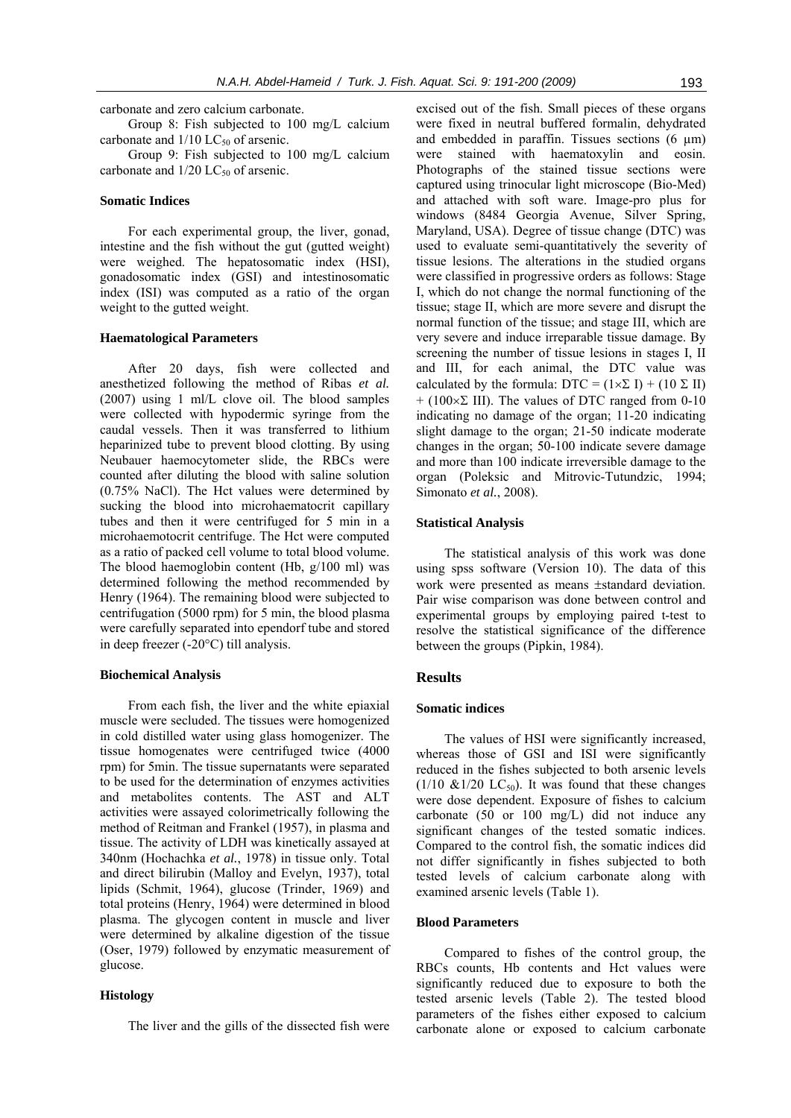carbonate and zero calcium carbonate.

Group 8: Fish subjected to 100 mg/L calcium carbonate and  $1/10$  LC<sub>50</sub> of arsenic.

Group 9: Fish subjected to 100 mg/L calcium carbonate and  $1/20$  LC<sub>50</sub> of arsenic.

# **Somatic Indices**

For each experimental group, the liver, gonad, intestine and the fish without the gut (gutted weight) were weighed. The hepatosomatic index (HSI), gonadosomatic index (GSI) and intestinosomatic index (ISI) was computed as a ratio of the organ weight to the gutted weight.

#### **Haematological Parameters**

After 20 days, fish were collected and anesthetized following the method of Ribas *et al.* (2007) using 1 ml/L clove oil. The blood samples were collected with hypodermic syringe from the caudal vessels. Then it was transferred to lithium heparinized tube to prevent blood clotting. By using Neubauer haemocytometer slide, the RBCs were counted after diluting the blood with saline solution (0.75% NaCl). The Hct values were determined by sucking the blood into microhaematocrit capillary tubes and then it were centrifuged for 5 min in a microhaemotocrit centrifuge. The Hct were computed as a ratio of packed cell volume to total blood volume. The blood haemoglobin content (Hb, g/100 ml) was determined following the method recommended by Henry (1964). The remaining blood were subjected to centrifugation (5000 rpm) for 5 min, the blood plasma were carefully separated into ependorf tube and stored in deep freezer (-20°C) till analysis.

# **Biochemical Analysis**

From each fish, the liver and the white epiaxial muscle were secluded. The tissues were homogenized in cold distilled water using glass homogenizer. The tissue homogenates were centrifuged twice (4000 rpm) for 5min. The tissue supernatants were separated to be used for the determination of enzymes activities and metabolites contents. The AST and ALT activities were assayed colorimetrically following the method of Reitman and Frankel (1957), in plasma and tissue. The activity of LDH was kinetically assayed at 340nm (Hochachka *et al.*, 1978) in tissue only. Total and direct bilirubin (Malloy and Evelyn, 1937), total lipids (Schmit, 1964), glucose (Trinder, 1969) and total proteins (Henry, 1964) were determined in blood plasma. The glycogen content in muscle and liver were determined by alkaline digestion of the tissue (Oser, 1979) followed by enzymatic measurement of glucose.

# **Histology**

The liver and the gills of the dissected fish were

excised out of the fish. Small pieces of these organs were fixed in neutral buffered formalin, dehydrated and embedded in paraffin. Tissues sections  $(6 \mu m)$ were stained with haematoxylin and eosin. Photographs of the stained tissue sections were captured using trinocular light microscope (Bio-Med) and attached with soft ware. Image-pro plus for windows (8484 Georgia Avenue, Silver Spring, Maryland, USA). Degree of tissue change (DTC) was used to evaluate semi-quantitatively the severity of tissue lesions. The alterations in the studied organs were classified in progressive orders as follows: Stage I, which do not change the normal functioning of the tissue; stage II, which are more severe and disrupt the normal function of the tissue; and stage III, which are very severe and induce irreparable tissue damage. By screening the number of tissue lesions in stages I, II and III, for each animal, the DTC value was calculated by the formula: DTC =  $(1 \times \Sigma I) + (10 \Sigma II)$  $+$  (100 $\times$ Σ III). The values of DTC ranged from 0-10 indicating no damage of the organ; 11-20 indicating slight damage to the organ; 21-50 indicate moderate changes in the organ; 50-100 indicate severe damage and more than 100 indicate irreversible damage to the organ (Poleksic and Mitrovic-Tutundzic, 1994; Simonato *et al.*, 2008).

#### **Statistical Analysis**

The statistical analysis of this work was done using spss software (Version 10). The data of this work were presented as means ±standard deviation. Pair wise comparison was done between control and experimental groups by employing paired t-test to resolve the statistical significance of the difference between the groups (Pipkin, 1984).

# **Results**

#### **Somatic indices**

The values of HSI were significantly increased, whereas those of GSI and ISI were significantly reduced in the fishes subjected to both arsenic levels  $(1/10 \& 1/20 \& C_{50})$ . It was found that these changes were dose dependent. Exposure of fishes to calcium carbonate (50 or 100 mg/L) did not induce any significant changes of the tested somatic indices. Compared to the control fish, the somatic indices did not differ significantly in fishes subjected to both tested levels of calcium carbonate along with examined arsenic levels (Table 1).

# **Blood Parameters**

Compared to fishes of the control group, the RBCs counts, Hb contents and Hct values were significantly reduced due to exposure to both the tested arsenic levels (Table 2). The tested blood parameters of the fishes either exposed to calcium carbonate alone or exposed to calcium carbonate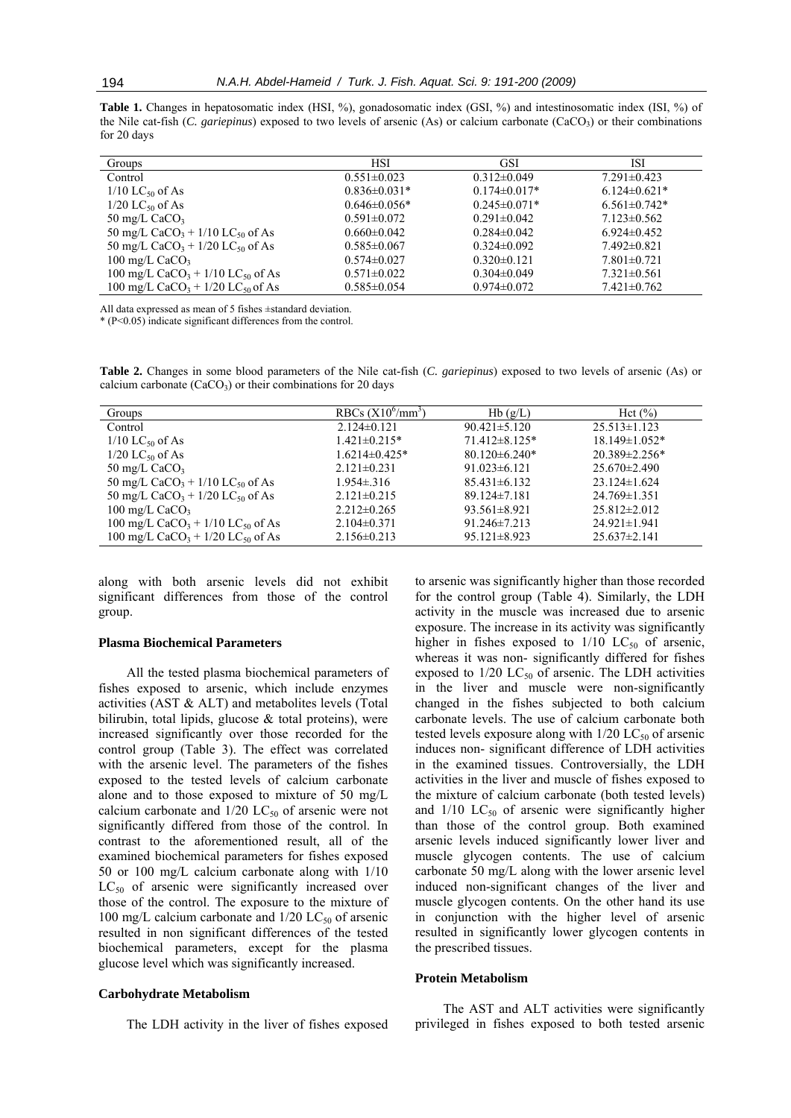**Table 1.** Changes in hepatosomatic index (HSI, %), gonadosomatic index (GSI, %) and intestinosomatic index (ISI, %) of the Nile cat-fish (*C. gariepinus*) exposed to two levels of arsenic (As) or calcium carbonate (CaCO<sub>3</sub>) or their combinations for 20 days

| Groups                                                     | HSI                | <b>GSI</b>          | ISI                 |
|------------------------------------------------------------|--------------------|---------------------|---------------------|
| Control                                                    | $0.551 \pm 0.023$  | $0.312 \pm 0.049$   | $7.291 \pm 0.423$   |
| $1/10$ LC <sub>50</sub> of As                              | $0.836 \pm 0.031*$ | $0.174 \pm 0.017$ * | $6.124 \pm 0.621$ * |
| $1/20$ LC <sub>50</sub> of As                              | $0.646\pm0.056*$   | $0.245 \pm 0.071$ * | $6.561 \pm 0.742$ * |
| 50 mg/L $CaCO3$                                            | $0.591 \pm 0.072$  | $0.291 \pm 0.042$   | $7.123 \pm 0.562$   |
| 50 mg/L CaCO <sub>3</sub> + $1/10$ LC <sub>50</sub> of As  | $0.660 \pm 0.042$  | $0.284 \pm 0.042$   | $6.924\pm0.452$     |
| 50 mg/L CaCO <sub>3</sub> + $1/20$ LC <sub>50</sub> of As  | $0.585 \pm 0.067$  | $0.324 \pm 0.092$   | $7.492\pm0.821$     |
| 100 mg/L $CaCO3$                                           | $0.574 \pm 0.027$  | $0.320 \pm 0.121$   | $7.801 \pm 0.721$   |
| 100 mg/L CaCO <sub>3</sub> + $1/10$ LC <sub>50</sub> of As | $0.571 \pm 0.022$  | $0.304 \pm 0.049$   | $7.321 \pm 0.561$   |
| 100 mg/L CaCO <sub>3</sub> + $1/20$ LC <sub>50</sub> of As | $0.585 \pm 0.054$  | $0.974 \pm 0.072$   | $7.421 \pm 0.762$   |

All data expressed as mean of 5 fishes ±standard deviation.

\* (P<0.05) indicate significant differences from the control.

**Table 2.** Changes in some blood parameters of the Nile cat-fish (*C. gariepinus*) exposed to two levels of arsenic (As) or calcium carbonate  $(CaCO<sub>3</sub>)$  or their combinations for 20 days

| Groups                                                     | RBCs $(X10^6/\text{mm}^3)$ | Hb(g/L)             | Hct $(\% )$          |
|------------------------------------------------------------|----------------------------|---------------------|----------------------|
| Control                                                    | $2.124 \pm 0.121$          | $90.421 \pm 5.120$  | $25.513 \pm 1.123$   |
| $1/10$ LC <sub>50</sub> of As                              | $1.421 \pm 0.215$ *        | $71.412\pm8.125*$   | $18.149 \pm 1.052$ * |
| $1/20$ LC <sub>50</sub> of As                              | $1.6214\pm0.425*$          | $80.120 \pm 6.240*$ | $20.389 \pm 2.256*$  |
| 50 mg/L CaCO <sub>3</sub>                                  | $2.121 \pm 0.231$          | $91.023 \pm 6.121$  | $25.670 \pm 2.490$   |
| 50 mg/L CaCO <sub>3</sub> + $1/10$ LC <sub>50</sub> of As  | $1.954 \pm 316$            | $85.431 \pm 6.132$  | $23.124 \pm 1.624$   |
| 50 mg/L CaCO <sub>3</sub> + $1/20$ LC <sub>50</sub> of As  | $2.121 \pm 0.215$          | $89.124 \pm 7.181$  | $24.769 \pm 1.351$   |
| 100 mg/L $CaCO3$                                           | $2.212 \pm 0.265$          | $93.561 \pm 8.921$  | $25.812 \pm 2.012$   |
| 100 mg/L CaCO <sub>3</sub> + $1/10$ LC <sub>50</sub> of As | $2.104\pm0.371$            | $91.246 \pm 7.213$  | $24.921 \pm 1.941$   |
| 100 mg/L CaCO <sub>3</sub> + $1/20$ LC <sub>50</sub> of As | $2.156 \pm 0.213$          | $95.121 \pm 8.923$  | $25.637 \pm 2.141$   |

along with both arsenic levels did not exhibit significant differences from those of the control group.

#### **Plasma Biochemical Parameters**

All the tested plasma biochemical parameters of fishes exposed to arsenic, which include enzymes activities (AST & ALT) and metabolites levels (Total bilirubin, total lipids, glucose & total proteins), were increased significantly over those recorded for the control group (Table 3). The effect was correlated with the arsenic level. The parameters of the fishes exposed to the tested levels of calcium carbonate alone and to those exposed to mixture of 50 mg/L calcium carbonate and  $1/20$  LC<sub>50</sub> of arsenic were not significantly differed from those of the control. In contrast to the aforementioned result, all of the examined biochemical parameters for fishes exposed 50 or 100 mg/L calcium carbonate along with 1/10  $LC_{50}$  of arsenic were significantly increased over those of the control. The exposure to the mixture of 100 mg/L calcium carbonate and  $1/20$  LC<sub>50</sub> of arsenic resulted in non significant differences of the tested biochemical parameters, except for the plasma glucose level which was significantly increased.

## **Carbohydrate Metabolism**

The LDH activity in the liver of fishes exposed

to arsenic was significantly higher than those recorded for the control group (Table 4). Similarly, the LDH activity in the muscle was increased due to arsenic exposure. The increase in its activity was significantly higher in fishes exposed to  $1/10$  LC<sub>50</sub> of arsenic, whereas it was non- significantly differed for fishes exposed to  $1/20$  LC<sub>50</sub> of arsenic. The LDH activities in the liver and muscle were non-significantly changed in the fishes subjected to both calcium carbonate levels. The use of calcium carbonate both tested levels exposure along with  $1/20$  LC<sub>50</sub> of arsenic induces non- significant difference of LDH activities in the examined tissues. Controversially, the LDH activities in the liver and muscle of fishes exposed to the mixture of calcium carbonate (both tested levels) and  $1/10$  LC<sub>50</sub> of arsenic were significantly higher than those of the control group. Both examined arsenic levels induced significantly lower liver and muscle glycogen contents. The use of calcium carbonate 50 mg/L along with the lower arsenic level induced non-significant changes of the liver and muscle glycogen contents. On the other hand its use in conjunction with the higher level of arsenic resulted in significantly lower glycogen contents in the prescribed tissues.

# **Protein Metabolism**

The AST and ALT activities were significantly privileged in fishes exposed to both tested arsenic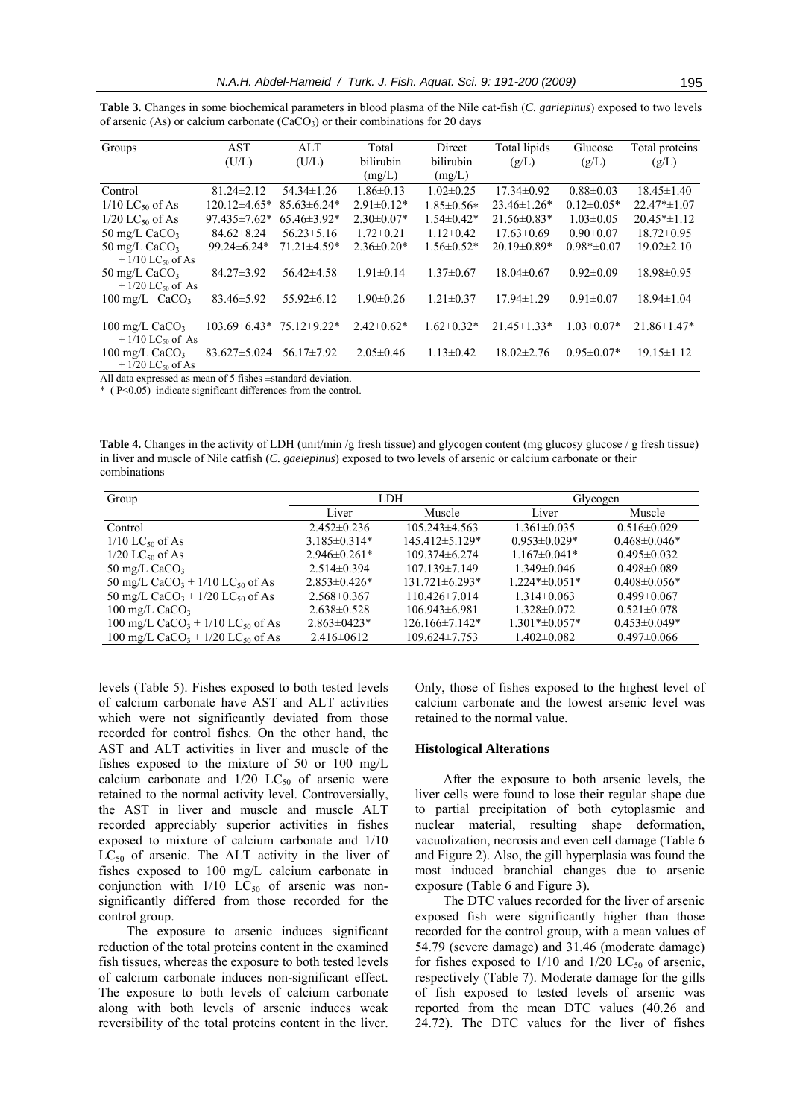| Groups                                             | AST                | ALT               | Total            | Direct            | Total lipids      | Glucose          | Total proteins    |
|----------------------------------------------------|--------------------|-------------------|------------------|-------------------|-------------------|------------------|-------------------|
|                                                    | (U/L)              | (U/L)             | bilirubin        | bilirubin         | (g/L)             | (g/L)            | (g/L)             |
|                                                    |                    |                   | (mg/L)           | (mg/L)            |                   |                  |                   |
| Control                                            | $81.24 \pm 2.12$   | $54.34 \pm 1.26$  | $1.86 \pm 0.13$  | $1.02\pm0.25$     | $17.34 \pm 0.92$  | $0.88 \pm 0.03$  | $18.45 \pm 1.40$  |
| $1/10$ LC <sub>50</sub> of As                      | $120.12\pm4.65*$   | $85.63 \pm 6.24*$ | $2.91 \pm 0.12*$ | $1.85 \pm 0.56*$  | $23.46 \pm 1.26*$ | $0.12 \pm 0.05*$ | $22.47* \pm 1.07$ |
| $1/20$ LC <sub>50</sub> of As                      | $97.435 \pm 7.62*$ | $65.46\pm3.92*$   | $2.30\pm0.07*$   | $1.54 \pm 0.42*$  | $21.56\pm0.83*$   | $1.03 \pm 0.05$  | $20.45* \pm 1.12$ |
| 50 mg/L $CaCO3$                                    | $84.62 \pm 8.24$   | $56.23 \pm 5.16$  | $1.72 \pm 0.21$  | $1.12\pm0.42$     | $17.63\pm0.69$    | $0.90 \pm 0.07$  | $18.72 \pm 0.95$  |
| 50 mg/L $CaCO3$<br>$+1/10$ LC <sub>50</sub> of As  | $99.24\pm 6.24*$   | $71.21 \pm 4.59*$ | $2.36\pm0.20*$   | $1.56 \pm 0.52*$  | $20.19 \pm 0.89*$ | $0.98* \pm 0.07$ | $19.02 \pm 2.10$  |
| 50 mg/L $CaCO3$<br>$+1/20$ LC <sub>50</sub> of As  | $84.27 \pm 3.92$   | $56.42\pm4.58$    | $1.91 \pm 0.14$  | $1.37 \pm 0.67$   | $18.04\pm0.67$    | $0.92\pm0.09$    | 18.98±0.95        |
| $100 \text{ mg/L}$ CaCO <sub>3</sub>               | $83.46 \pm 5.92$   | $55.92 \pm 6.12$  | $1.90 \pm 0.26$  | $1.21 \pm 0.37$   | $17.94 \pm 1.29$  | $0.91 \pm 0.07$  | $18.94 \pm 1.04$  |
| 100 mg/L $CaCO3$<br>$+1/10$ LC <sub>50</sub> of As | $103.69\pm 6.43*$  | 75.12±9.22*       | $2.42\pm0.62*$   | $1.62 \pm 0.32^*$ | $21.45 \pm 1.33*$ | $1.03 \pm 0.07*$ | $21.86 \pm 1.47*$ |
| 100 mg/L $CaCO3$<br>$+1/20$ LC <sub>50</sub> of As | $83.627 \pm 5.024$ | $56.17 \pm 7.92$  | $2.05 \pm 0.46$  | $1.13 \pm 0.42$   | $18.02 \pm 2.76$  | $0.95 \pm 0.07*$ | $19.15 \pm 1.12$  |

**Table 3.** Changes in some biochemical parameters in blood plasma of the Nile cat-fish (*C. gariepinus*) exposed to two levels of arsenic (As) or calcium carbonate  $(CaCO<sub>3</sub>)$  or their combinations for 20 days

All data expressed as mean of 5 fishes ±standard deviation.

\* ( P<0.05) indicate significant differences from the control.

Table 4. Changes in the activity of LDH (unit/min /g fresh tissue) and glycogen content (mg glucosy glucose / g fresh tissue) in liver and muscle of Nile catfish (*C. gaeiepinus*) exposed to two levels of arsenic or calcium carbonate or their combinations

| Group                                                      |                   | LDH                  | Glycogen               |                    |  |
|------------------------------------------------------------|-------------------|----------------------|------------------------|--------------------|--|
|                                                            | Liver             | Muscle               | Liver                  | Muscle             |  |
| Control                                                    | $2.452\pm0.236$   | $105.243\pm4.563$    | $1.361 \pm 0.035$      | $0.516 \pm 0.029$  |  |
| $1/10$ LC <sub>50</sub> of As                              | $3.185\pm0.314*$  | 145.412±5.129*       | $0.953\pm0.029*$       | $0.468 \pm 0.046*$ |  |
| $1/20$ LC <sub>50</sub> of As                              | $2.946\pm0.261*$  | $109.374\pm 6.274$   | $1.167\pm0.041*$       | $0.495 \pm 0.032$  |  |
| 50 mg/L $CaCO3$                                            | $2.514\pm0.394$   | $107.139 \pm 7.149$  | $1.349 \pm 0.046$      | $0.498 \pm 0.089$  |  |
| 50 mg/L CaCO <sub>3</sub> + $1/10$ LC <sub>50</sub> of As  | $2.853\pm0.426*$  | $131.721 \pm 6.293*$ | $1.224$ * $\pm$ 0.051* | $0.408 \pm 0.056*$ |  |
| 50 mg/L CaCO <sub>3</sub> + $1/20$ LC <sub>50</sub> of As  | $2.568\pm0.367$   | $110.426 \pm 7.014$  | $1.314\pm0.063$        | $0.499\pm0.067$    |  |
| 100 mg/L $CaCO3$                                           | $2.638 \pm 0.528$ | $106.943\pm 6.981$   | $1.328 \pm 0.072$      | $0.521 \pm 0.078$  |  |
| 100 mg/L CaCO <sub>3</sub> + 1/10 LC <sub>50</sub> of As   | $2.863\pm0423*$   | $126.166 \pm 7.142*$ | $1.301* \pm 0.057*$    | $0.453 \pm 0.049*$ |  |
| 100 mg/L CaCO <sub>3</sub> + $1/20$ LC <sub>50</sub> of As | $2.416 \pm 0612$  | $109.624 \pm 7.753$  | $1.402 \pm 0.082$      | $0.497 \pm 0.066$  |  |

levels (Table 5). Fishes exposed to both tested levels of calcium carbonate have AST and ALT activities which were not significantly deviated from those recorded for control fishes. On the other hand, the AST and ALT activities in liver and muscle of the fishes exposed to the mixture of 50 or 100 mg/L calcium carbonate and  $1/20$  LC<sub>50</sub> of arsenic were retained to the normal activity level. Controversially, the AST in liver and muscle and muscle ALT recorded appreciably superior activities in fishes exposed to mixture of calcium carbonate and 1/10  $LC_{50}$  of arsenic. The ALT activity in the liver of fishes exposed to 100 mg/L calcium carbonate in conjunction with  $1/10$  LC<sub>50</sub> of arsenic was nonsignificantly differed from those recorded for the control group.

The exposure to arsenic induces significant reduction of the total proteins content in the examined fish tissues, whereas the exposure to both tested levels of calcium carbonate induces non-significant effect. The exposure to both levels of calcium carbonate along with both levels of arsenic induces weak reversibility of the total proteins content in the liver.

Only, those of fishes exposed to the highest level of calcium carbonate and the lowest arsenic level was retained to the normal value.

# **Histological Alterations**

After the exposure to both arsenic levels, the liver cells were found to lose their regular shape due to partial precipitation of both cytoplasmic and nuclear material, resulting shape deformation, vacuolization, necrosis and even cell damage (Table 6 and Figure 2). Also, the gill hyperplasia was found the most induced branchial changes due to arsenic exposure (Table 6 and Figure 3).

The DTC values recorded for the liver of arsenic exposed fish were significantly higher than those recorded for the control group, with a mean values of 54.79 (severe damage) and 31.46 (moderate damage) for fishes exposed to  $1/10$  and  $1/20$  LC<sub>50</sub> of arsenic, respectively (Table 7). Moderate damage for the gills of fish exposed to tested levels of arsenic was reported from the mean DTC values (40.26 and 24.72). The DTC values for the liver of fishes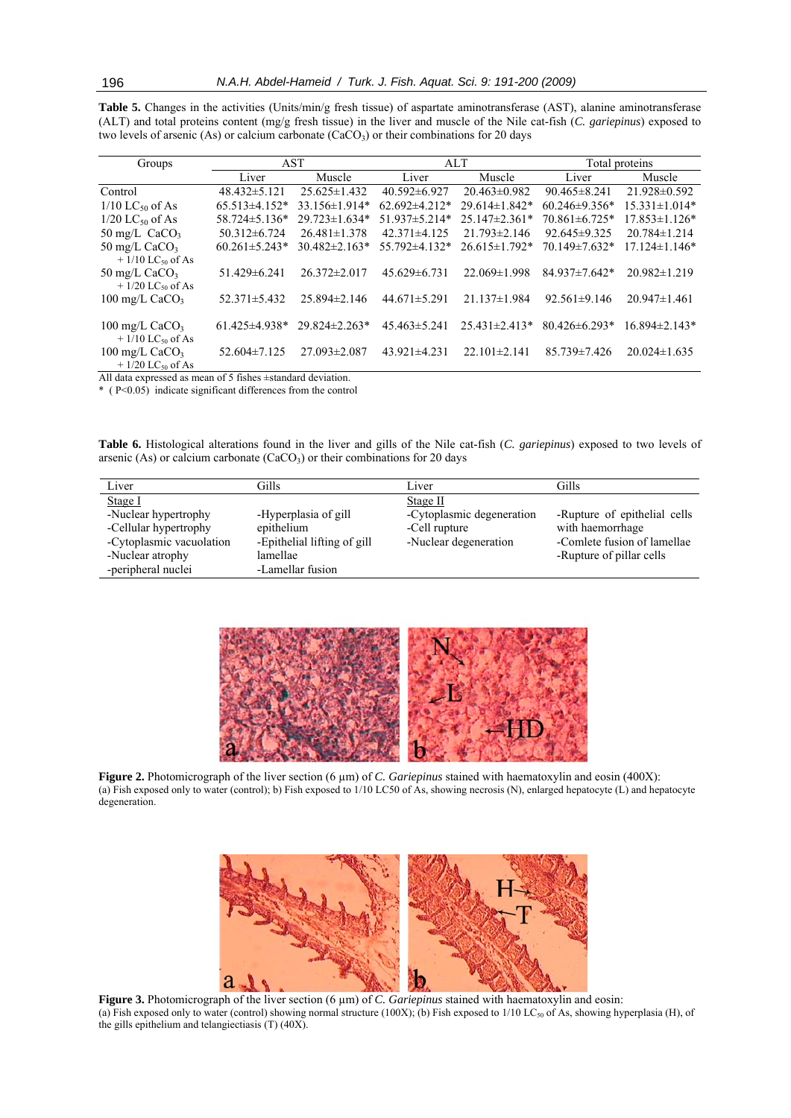| Groups                                                                 | AST                 |                     | ALT                 |                      | Total proteins      |                     |
|------------------------------------------------------------------------|---------------------|---------------------|---------------------|----------------------|---------------------|---------------------|
|                                                                        | Liver               | Muscle              | Liver               | Muscle               | Liver               | Muscle              |
| Control                                                                | $48.432 \pm 5.121$  | $25.625 \pm 1.432$  | $40.592\pm 6.927$   | $20.463 \pm 0.982$   | $90.465 \pm 8.241$  | 21.928±0.592        |
| $1/10$ LC <sub>50</sub> of As                                          | $65.513\pm4.152*$   | 33.156±1.914*       | $62.692\pm4.212*$   | $29.614 \pm 1.842$ * | $60.246 \pm 9.356*$ | $15.331 \pm 1.014*$ |
| $1/20$ LC <sub>50</sub> of As                                          | $58.724 \pm 5.136*$ | $29.723 \pm 1.634*$ | $51.937 \pm 5.214*$ | $25.147 \pm 2.361*$  | $70.861 \pm 6.725*$ | $17.853\pm1.126*$   |
| 50 mg/L $CaCO3$                                                        | $50.312\pm 6.724$   | $26.481 \pm 1.378$  | $42.371 \pm 4.125$  | $21.793 \pm 2.146$   | $92.645 \pm 9.325$  | $20.784 \pm 1.214$  |
| 50 mg/L $CaCO3$<br>$+1/10$ LC <sub>50</sub> of As                      | $60.261 \pm 5.243*$ | $30.482 \pm 2.163*$ | 55.792±4.132*       | $26.615 \pm 1.792*$  | 70.149±7.632*       | $17.124 \pm 1.146*$ |
| 50 mg/L $CaCO3$<br>$+1/20$ LC <sub>50</sub> of As                      | 51.429±6.241        | $26.372 \pm 2.017$  | $45.629 \pm 6.731$  | $22.069 \pm 1.998$   | $84.937 \pm 7.642*$ | $20.982 \pm 1.219$  |
| 100 mg/L $CaCO3$                                                       | $52.371 \pm 5.432$  | $25.894\pm2.146$    | 44.671 $\pm$ 5.291  | $21.137\pm1.984$     | $92.561 \pm 9.146$  | $20.947 \pm 1.461$  |
| 100 mg/L $CaCO3$<br>$+1/10$ LC <sub>50</sub> of As                     | $61.425 \pm 4.938*$ | $29.824 \pm 2.263*$ | $45.463 \pm 5.241$  | $25.431 \pm 2.413*$  | $80.426 \pm 6.293*$ | $16.894\pm2.143*$   |
| $100 \text{ mg/L}$ CaCO <sub>3</sub><br>$+1/20$ LC <sub>50</sub> of As | $52.604 \pm 7.125$  | $27.093 \pm 2.087$  | $43.921 \pm 4.231$  | $22.101 \pm 2.141$   | $85.739 \pm 7.426$  | $20.024 \pm 1.635$  |

**Table 5.** Changes in the activities (Units/min/g fresh tissue) of aspartate aminotransferase (AST), alanine aminotransferase (ALT) and total proteins content (mg/g fresh tissue) in the liver and muscle of the Nile cat-fish (*C. gariepinus*) exposed to two levels of arsenic (As) or calcium carbonate (CaCO<sub>3</sub>) or their combinations for 20 days

All data expressed as mean of 5 fishes ±standard deviation.

\* ( $P \le 0.05$ ) indicate significant differences from the control

**Table 6.** Histological alterations found in the liver and gills of the Nile cat-fish (*C. gariepinus*) exposed to two levels of arsenic (As) or calcium carbonate (CaCO<sub>3</sub>) or their combinations for 20 days

| Liver                    | Gills                       | Liver                     | Gills                        |
|--------------------------|-----------------------------|---------------------------|------------------------------|
| Stage I                  |                             | Stage II                  |                              |
| -Nuclear hypertrophy     | -Hyperplasia of gill        | -Cytoplasmic degeneration | -Rupture of epithelial cells |
| -Cellular hypertrophy    | epithelium                  | -Cell rupture             | with haemorrhage             |
| -Cytoplasmic vacuolation | -Epithelial lifting of gill | -Nuclear degeneration     | -Comlete fusion of lamellae  |
| -Nuclear atrophy         | lamellae                    |                           | -Rupture of pillar cells     |
| -peripheral nuclei       | -Lamellar fusion            |                           |                              |



**Figure 2.** Photomicrograph of the liver section (6 µm) of *C. Gariepinus* stained with haematoxylin and eosin (400X): (a) Fish exposed only to water (control); b) Fish exposed to 1/10 LC50 of As, showing necrosis (N), enlarged hepatocyte (L) and hepatocyte degeneration.



**Figure 3.** Photomicrograph of the liver section (6 µm) of *C. Gariepinus* stained with haematoxylin and eosin: (a) Fish exposed only to water (control) showing normal structure (100X); (b) Fish exposed to 1/10 LC<sub>50</sub> of As, showing hyperplasia (H), of the gills epithelium and telangiectiasis (T) (40X).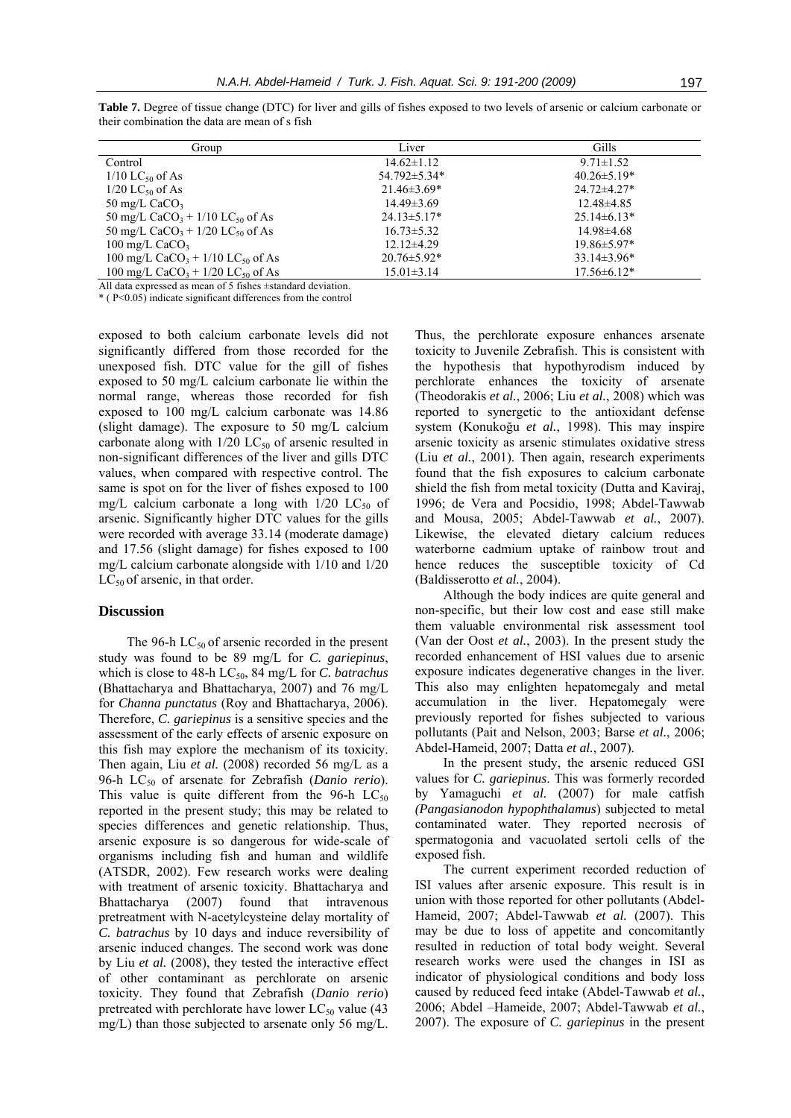**Table 7.** Degree of tissue change (DTC) for liver and gills of fishes exposed to two levels of arsenic or calcium carbonate or their combination the data are mean of s fish

| Group                                                      | Liver             | Gills              |
|------------------------------------------------------------|-------------------|--------------------|
| Control                                                    | $14.62 \pm 1.12$  | $9.71 \pm 1.52$    |
| $1/10$ LC <sub>50</sub> of As                              | 54.792±5.34*      | $40.26 \pm 5.19*$  |
| $1/20$ LC <sub>50</sub> of As                              | $21.46 \pm 3.69*$ | $24.72 \pm 4.27$ * |
| 50 mg/L $CaCO3$                                            | $14.49\pm3.69$    | $12.48\pm4.85$     |
| 50 mg/L CaCO <sub>3</sub> + $1/10$ LC <sub>50</sub> of As  | $24.13 \pm 5.17*$ | $25.14\pm6.13*$    |
| 50 mg/L CaCO <sub>3</sub> + $1/20$ LC <sub>50</sub> of As  | $16.73 \pm 5.32$  | $14.98\pm4.68$     |
| 100 mg/L $CaCO3$                                           | $12.12\pm4.29$    | $19.86 \pm 5.97*$  |
| 100 mg/L CaCO <sub>3</sub> + $1/10$ LC <sub>50</sub> of As | $20.76 \pm 5.92*$ | $33.14\pm3.96*$    |
| 100 mg/L CaCO <sub>3</sub> + 1/20 LC <sub>50</sub> of As   | $15.01 \pm 3.14$  | $17.56 \pm 6.12*$  |

All data expressed as mean of 5 fishes ±standard deviation.

\* ( P<0.05) indicate significant differences from the control

exposed to both calcium carbonate levels did not significantly differed from those recorded for the unexposed fish. DTC value for the gill of fishes exposed to 50 mg/L calcium carbonate lie within the normal range, whereas those recorded for fish exposed to 100 mg/L calcium carbonate was 14.86 (slight damage). The exposure to 50 mg/L calcium carbonate along with  $1/20$  LC<sub>50</sub> of arsenic resulted in non-significant differences of the liver and gills DTC values, when compared with respective control. The same is spot on for the liver of fishes exposed to 100 mg/L calcium carbonate a long with  $1/20$  LC<sub>50</sub> of arsenic. Significantly higher DTC values for the gills were recorded with average 33.14 (moderate damage) and 17.56 (slight damage) for fishes exposed to 100 mg/L calcium carbonate alongside with 1/10 and 1/20  $LC_{50}$  of arsenic, in that order.

# **Discussion**

The 96-h  $LC_{50}$  of arsenic recorded in the present study was found to be 89 mg/L for *C. gariepinus*, which is close to 48-h LC<sub>50</sub>, 84 mg/L for *C. batrachus* (Bhattacharya and Bhattacharya, 2007) and 76 mg/L for *Channa punctatus* (Roy and Bhattacharya, 2006). Therefore, *C. gariepinus* is a sensitive species and the assessment of the early effects of arsenic exposure on this fish may explore the mechanism of its toxicity. Then again, Liu *et al.* (2008) recorded 56 mg/L as a 96-h LC<sub>50</sub> of arsenate for Zebrafish (*Danio rerio*). This value is quite different from the 96-h  $LC_{50}$ reported in the present study; this may be related to species differences and genetic relationship. Thus, arsenic exposure is so dangerous for wide-scale of organisms including fish and human and wildlife (ATSDR, 2002). Few research works were dealing with treatment of arsenic toxicity. Bhattacharya and Bhattacharya (2007) found that intravenous pretreatment with N-acetylcysteine delay mortality of *C. batrachus* by 10 days and induce reversibility of arsenic induced changes. The second work was done by Liu *et al.* (2008), they tested the interactive effect of other contaminant as perchlorate on arsenic toxicity. They found that Zebrafish (*Danio rerio*) pretreated with perchlorate have lower  $LC_{50}$  value (43) mg/L) than those subjected to arsenate only 56 mg/L.

Thus, the perchlorate exposure enhances arsenate toxicity to Juvenile Zebrafish. This is consistent with the hypothesis that hypothyrodism induced by perchlorate enhances the toxicity of arsenate (Theodorakis *et al.*, 2006; Liu *et al.*, 2008) which was reported to synergetic to the antioxidant defense system (Konukoğu *et al.*, 1998). This may inspire arsenic toxicity as arsenic stimulates oxidative stress (Liu *et al.*, 2001). Then again, research experiments found that the fish exposures to calcium carbonate shield the fish from metal toxicity (Dutta and Kaviraj, 1996; de Vera and Pocsidio, 1998; Abdel-Tawwab and Mousa, 2005; Abdel-Tawwab *et al.*, 2007). Likewise, the elevated dietary calcium reduces waterborne cadmium uptake of rainbow trout and hence reduces the susceptible toxicity of Cd (Baldisserotto *et al.*, 2004).

Although the body indices are quite general and non-specific, but their low cost and ease still make them valuable environmental risk assessment tool (Van der Oost *et al.*, 2003). In the present study the recorded enhancement of HSI values due to arsenic exposure indicates degenerative changes in the liver. This also may enlighten hepatomegaly and metal accumulation in the liver. Hepatomegaly were previously reported for fishes subjected to various pollutants (Pait and Nelson, 2003; Barse *et al.*, 2006; Abdel-Hameid, 2007; Datta *et al.*, 2007).

In the present study, the arsenic reduced GSI values for *C. gariepinus*. This was formerly recorded by Yamaguchi *et al.* (2007) for male catfish *(Pangasianodon hypophthalamus*) subjected to metal contaminated water. They reported necrosis of spermatogonia and vacuolated sertoli cells of the exposed fish.

The current experiment recorded reduction of ISI values after arsenic exposure. This result is in union with those reported for other pollutants (Abdel-Hameid, 2007; Abdel-Tawwab *et al.* (2007). This may be due to loss of appetite and concomitantly resulted in reduction of total body weight. Several research works were used the changes in ISI as indicator of physiological conditions and body loss caused by reduced feed intake (Abdel-Tawwab *et al.*, 2006; Abdel –Hameide, 2007; Abdel-Tawwab *et al.*, 2007). The exposure of *C. gariepinus* in the present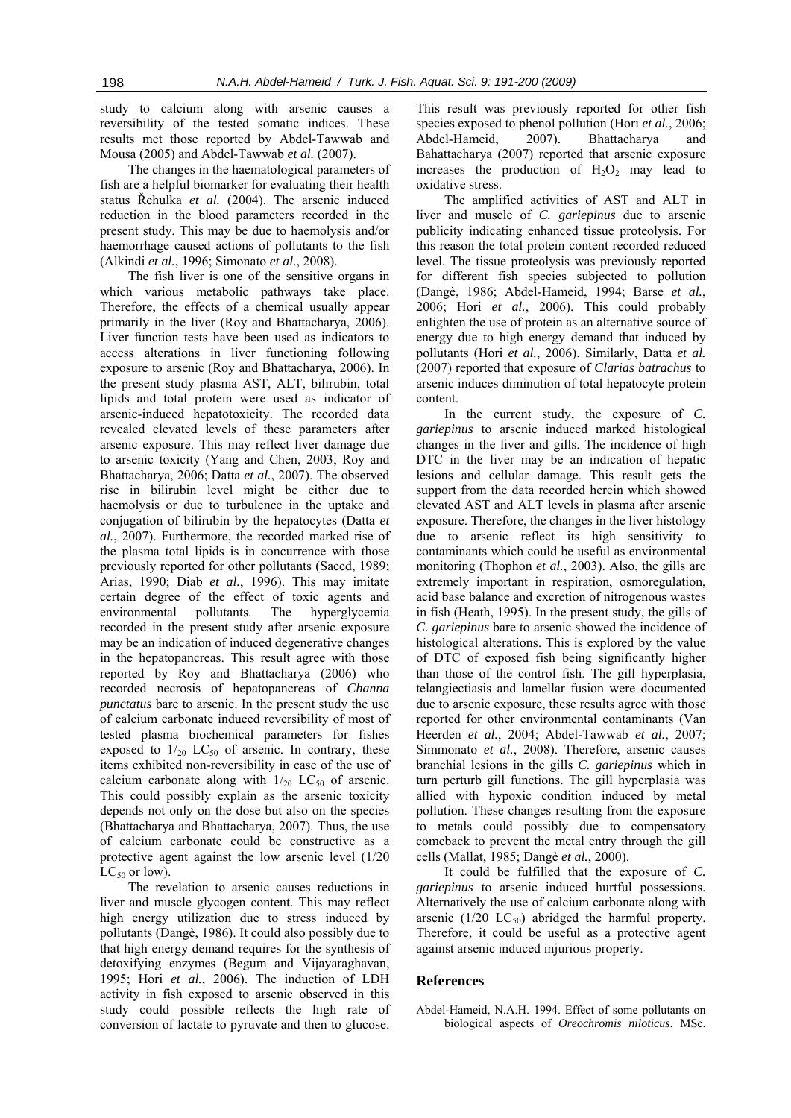study to calcium along with arsenic causes a reversibility of the tested somatic indices. These results met those reported by Abdel-Tawwab and Mousa (2005) and Abdel-Tawwab *et al.* (2007).

The changes in the haematological parameters of fish are a helpful biomarker for evaluating their health status Řehulka *et al.* (2004). The arsenic induced reduction in the blood parameters recorded in the present study. This may be due to haemolysis and/or haemorrhage caused actions of pollutants to the fish (Alkindi *et al.*, 1996; Simonato *et al*., 2008).

The fish liver is one of the sensitive organs in which various metabolic pathways take place. Therefore, the effects of a chemical usually appear primarily in the liver (Roy and Bhattacharya, 2006). Liver function tests have been used as indicators to access alterations in liver functioning following exposure to arsenic (Roy and Bhattacharya, 2006). In the present study plasma AST, ALT, bilirubin, total lipids and total protein were used as indicator of arsenic-induced hepatotoxicity. The recorded data revealed elevated levels of these parameters after arsenic exposure. This may reflect liver damage due to arsenic toxicity (Yang and Chen, 2003; Roy and Bhattacharya, 2006; Datta *et al.*, 2007). The observed rise in bilirubin level might be either due to haemolysis or due to turbulence in the uptake and conjugation of bilirubin by the hepatocytes (Datta *et al.*, 2007). Furthermore, the recorded marked rise of the plasma total lipids is in concurrence with those previously reported for other pollutants (Saeed, 1989; Arias, 1990; Diab *et al.*, 1996). This may imitate certain degree of the effect of toxic agents and environmental pollutants. The hyperglycemia recorded in the present study after arsenic exposure may be an indication of induced degenerative changes in the hepatopancreas. This result agree with those reported by Roy and Bhattacharya (2006) who recorded necrosis of hepatopancreas of *Channa punctatus* bare to arsenic. In the present study the use of calcium carbonate induced reversibility of most of tested plasma biochemical parameters for fishes exposed to  $1/20$  LC<sub>50</sub> of arsenic. In contrary, these items exhibited non-reversibility in case of the use of calcium carbonate along with  $1/_{20}$  LC<sub>50</sub> of arsenic. This could possibly explain as the arsenic toxicity depends not only on the dose but also on the species (Bhattacharya and Bhattacharya, 2007). Thus, the use of calcium carbonate could be constructive as a protective agent against the low arsenic level (1/20  $LC_{50}$  or low).

The revelation to arsenic causes reductions in liver and muscle glycogen content. This may reflect high energy utilization due to stress induced by pollutants (Dangè, 1986). It could also possibly due to that high energy demand requires for the synthesis of detoxifying enzymes (Begum and Vijayaraghavan, 1995; Hori *et al.*, 2006). The induction of LDH activity in fish exposed to arsenic observed in this study could possible reflects the high rate of conversion of lactate to pyruvate and then to glucose.

This result was previously reported for other fish species exposed to phenol pollution (Hori *et al.*, 2006; Abdel-Hameid, 2007). Bhattacharya and Bahattacharya (2007) reported that arsenic exposure increases the production of  $H_2O_2$  may lead to oxidative stress.

The amplified activities of AST and ALT in liver and muscle of *C. gariepinus* due to arsenic publicity indicating enhanced tissue proteolysis. For this reason the total protein content recorded reduced level. The tissue proteolysis was previously reported for different fish species subjected to pollution (Dangè, 1986; Abdel-Hameid, 1994; Barse *et al.*, 2006; Hori *et al.*, 2006). This could probably enlighten the use of protein as an alternative source of energy due to high energy demand that induced by pollutants (Hori *et al.*, 2006). Similarly, Datta *et al.* (2007) reported that exposure of *Clarias batrachus* to arsenic induces diminution of total hepatocyte protein content.

In the current study, the exposure of *C. gariepinus* to arsenic induced marked histological changes in the liver and gills. The incidence of high DTC in the liver may be an indication of hepatic lesions and cellular damage. This result gets the support from the data recorded herein which showed elevated AST and ALT levels in plasma after arsenic exposure. Therefore, the changes in the liver histology due to arsenic reflect its high sensitivity to contaminants which could be useful as environmental monitoring (Thophon *et al.*, 2003). Also, the gills are extremely important in respiration, osmoregulation, acid base balance and excretion of nitrogenous wastes in fish (Heath, 1995). In the present study, the gills of *C. gariepinus* bare to arsenic showed the incidence of histological alterations. This is explored by the value of DTC of exposed fish being significantly higher than those of the control fish. The gill hyperplasia, telangiectiasis and lamellar fusion were documented due to arsenic exposure, these results agree with those reported for other environmental contaminants (Van Heerden *et al.*, 2004; Abdel-Tawwab *et al.*, 2007; Simmonato *et al.*, 2008). Therefore, arsenic causes branchial lesions in the gills *C. gariepinus* which in turn perturb gill functions. The gill hyperplasia was allied with hypoxic condition induced by metal pollution. These changes resulting from the exposure to metals could possibly due to compensatory comeback to prevent the metal entry through the gill cells (Mallat, 1985; Dangè *et al.*, 2000).

It could be fulfilled that the exposure of *C. gariepinus* to arsenic induced hurtful possessions. Alternatively the use of calcium carbonate along with arsenic  $(1/20 \text{ LC}_{50})$  abridged the harmful property. Therefore, it could be useful as a protective agent against arsenic induced injurious property.

# **References**

Abdel-Hameid, N.A.H. 1994. Effect of some pollutants on biological aspects of *Oreochromis niloticus*. MSc.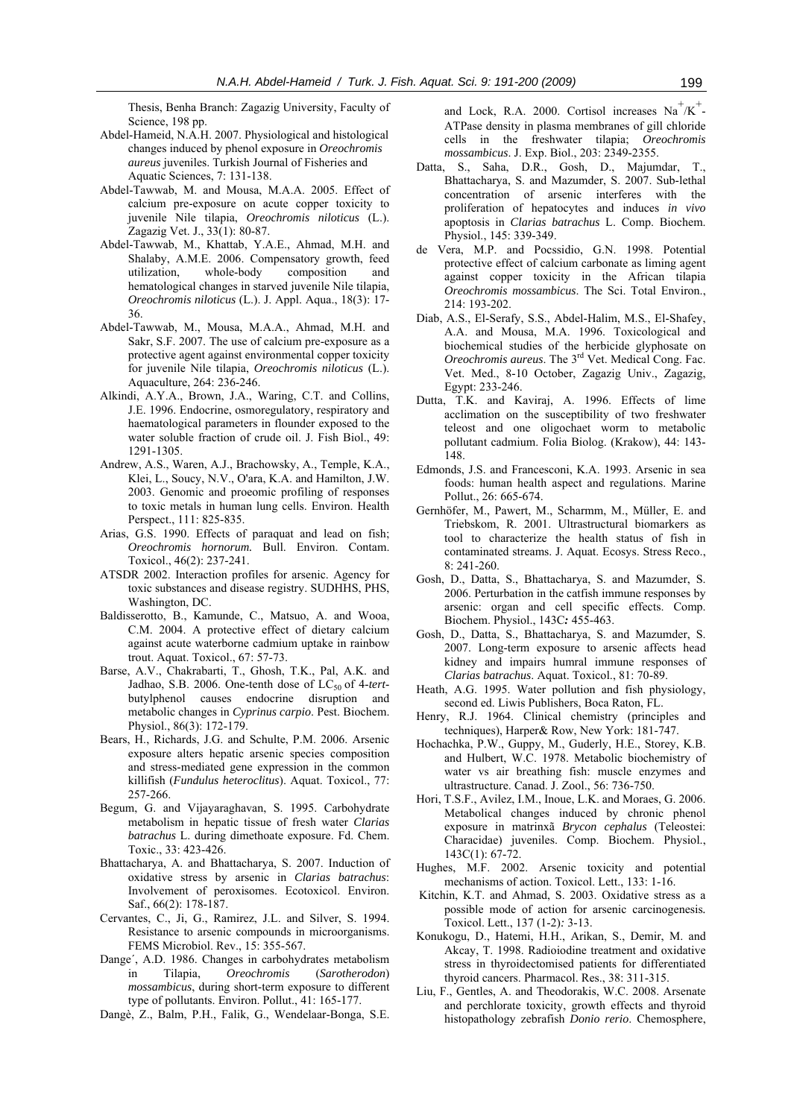Thesis, Benha Branch: Zagazig University, Faculty of Science, 198 pp.

- Abdel-Hameid, N.A.H. 2007. Physiological and histological changes induced by phenol exposure in *Oreochromis aureus* juveniles. Turkish Journal of Fisheries and Aquatic Sciences, 7: 131-138.
- Abdel-Tawwab, M. and Mousa, M.A.A. 2005. Effect of calcium pre-exposure on acute copper toxicity to juvenile Nile tilapia, *Oreochromis niloticus* (L.). Zagazig Vet. J., 33(1): 80-87.
- Abdel-Tawwab, M., Khattab, Y.A.E., Ahmad, M.H. and Shalaby, A.M.E. 2006. Compensatory growth, feed utilization, whole-body composition and hematological changes in starved juvenile Nile tilapia, *Oreochromis niloticus* (L.). J. Appl. Aqua., 18(3): 17- 36.
- Abdel-Tawwab, M., Mousa, M.A.A., Ahmad, M.H. and Sakr, S.F. 2007. The use of calcium pre-exposure as a protective agent against environmental copper toxicity for juvenile Nile tilapia, *Oreochromis niloticus* (L.). Aquaculture, 264: 236-246.
- Alkindi, A.Y.A., Brown, J.A., Waring, C.T. and Collins, J.E. 1996. Endocrine, osmoregulatory, respiratory and haematological parameters in flounder exposed to the water soluble fraction of crude oil. J. Fish Biol., 49: 1291-1305.
- Andrew, A.S., Waren, A.J., Brachowsky, A., Temple, K.A., Klei, L., Soucy, N.V., O'ara, K.A. and Hamilton, J.W. 2003. Genomic and proeomic profiling of responses to toxic metals in human lung cells. Environ. Health Perspect., 111: 825-835.
- Arias, G.S. 1990. Effects of paraquat and lead on fish; *Oreochromis hornorum.* Bull. Environ. Contam. Toxicol., 46(2): 237-241.
- ATSDR 2002. Interaction profiles for arsenic. Agency for toxic substances and disease registry. SUDHHS, PHS, Washington, DC.
- Baldisserotto, B., Kamunde, C., Matsuo, A. and Wooa, C.M. 2004. A protective effect of dietary calcium against acute waterborne cadmium uptake in rainbow trout. Aquat. Toxicol., 67: 57-73.
- Barse, A.V., Chakrabarti, T., Ghosh, T.K., Pal, A.K. and Jadhao, S.B. 2006. One-tenth dose of  $LC_{50}$  of 4-tertbutylphenol causes endocrine disruption and metabolic changes in *Cyprinus carpio*. Pest. Biochem. Physiol., 86(3): 172-179.
- Bears, H., Richards, J.G. and Schulte, P.M. 2006. Arsenic exposure alters hepatic arsenic species composition and stress-mediated gene expression in the common killifish (*Fundulus heteroclitus*). Aquat. Toxicol., 77: 257-266.
- Begum, G. and Vijayaraghavan, S. 1995. Carbohydrate metabolism in hepatic tissue of fresh water *Clarias batrachus* L. during dimethoate exposure. Fd. Chem. Toxic., 33: 423-426.
- Bhattacharya, A. and Bhattacharya, S. 2007. Induction of oxidative stress by arsenic in *Clarias batrachus*: Involvement of peroxisomes. Ecotoxicol. Environ. Saf., 66(2): 178-187.
- Cervantes, C., Ji, G., Ramirez, J.L. and Silver, S. 1994. Resistance to arsenic compounds in microorganisms. FEMS Microbiol. Rev., 15: 355-567.
- Dange´, A.D. 1986. Changes in carbohydrates metabolism in Tilapia, *Oreochromis* (*Sarotherodon*) *mossambicus*, during short-term exposure to different type of pollutants. Environ. Pollut., 41: 165-177.
- Dangè, Z., Balm, P.H., Falik, G., Wendelaar-Bonga, S.E.

and Lock, R.A. 2000. Cortisol increases  $Na<sup>+</sup>/K<sup>+</sup>$ . ATPase density in plasma membranes of gill chloride cells in the freshwater tilapia; *Oreochromis mossambicus*. J. Exp. Biol., 203: 2349-2355.

- Datta, S., Saha, D.R., Gosh, D., Majumdar, T., Bhattacharya, S. and Mazumder, S. 2007. Sub-lethal concentration of arsenic interferes with the proliferation of hepatocytes and induces *in vivo* apoptosis in *Clarias batrachus* L. Comp. Biochem. Physiol., 145: 339-349.
- de Vera, M.P. and Pocssidio, G.N. 1998. Potential protective effect of calcium carbonate as liming agent against copper toxicity in the African tilapia *Oreochromis mossambicus*. The Sci. Total Environ., 214: 193-202.
- Diab, A.S., El-Serafy, S.S., Abdel-Halim, M.S., El-Shafey, A.A. and Mousa, M.A. 1996. Toxicological and biochemical studies of the herbicide glyphosate on *Oreochromis aureus*. The 3rd Vet. Medical Cong. Fac. Vet. Med., 8-10 October, Zagazig Univ., Zagazig, Egypt: 233-246.
- Dutta, T.K. and Kaviraj, A. 1996. Effects of lime acclimation on the susceptibility of two freshwater teleost and one oligochaet worm to metabolic pollutant cadmium. Folia Biolog. (Krakow), 44: 143- 148.
- Edmonds, J.S. and Francesconi, K.A. 1993. Arsenic in sea foods: human health aspect and regulations. Marine Pollut., 26: 665-674.
- Gernhöfer, M., Pawert, M., Scharmm, M., Müller, E. and Triebskom, R. 2001. Ultrastructural biomarkers as tool to characterize the health status of fish in contaminated streams. J. Aquat. Ecosys. Stress Reco., 8: 241-260.
- Gosh, D., Datta, S., Bhattacharya, S. and Mazumder, S. 2006. Perturbation in the catfish immune responses by arsenic: organ and cell specific effects. Comp. Biochem. Physiol., 143C*:* 455-463.
- Gosh, D., Datta, S., Bhattacharya, S. and Mazumder, S. 2007. Long-term exposure to arsenic affects head kidney and impairs humral immune responses of *Clarias batrachus*. Aquat. Toxicol., 81: 70-89.
- Heath, A.G. 1995. Water pollution and fish physiology, second ed. Liwis Publishers, Boca Raton, FL.
- Henry, R.J. 1964. Clinical chemistry (principles and techniques), Harper& Row, New York: 181-747.
- Hochachka, P.W., Guppy, M., Guderly, H.E., Storey, K.B. and Hulbert, W.C. 1978. Metabolic biochemistry of water vs air breathing fish: muscle enzymes and ultrastructure. Canad. J. Zool., 56: 736-750.
- Hori, T.S.F., Avilez, I.M., Inoue, L.K. and Moraes, G. 2006. Metabolical changes induced by chronic phenol exposure in matrinxã *Brycon cephalus* (Teleostei: Characidae) juveniles. Comp. Biochem. Physiol., 143C(1): 67-72.
- Hughes, M.F. 2002. Arsenic toxicity and potential mechanisms of action. Toxicol. Lett., 133: 1-16.
- Kitchin, K.T. and Ahmad, S. 2003. Oxidative stress as a possible mode of action for arsenic carcinogenesis*.*  Toxicol. Lett., 137 (1-2)*:* 3-13.
- Konukogu, D., Hatemi, H.H., Arikan, S., Demir, M. and Akcay, T. 1998. Radioiodine treatment and oxidative stress in thyroidectomised patients for differentiated thyroid cancers. Pharmacol. Res., 38: 311-315.
- Liu, F., Gentles, A. and Theodorakis, W.C. 2008. Arsenate and perchlorate toxicity, growth effects and thyroid histopathology zebrafish *Donio rerio*. Chemosphere,